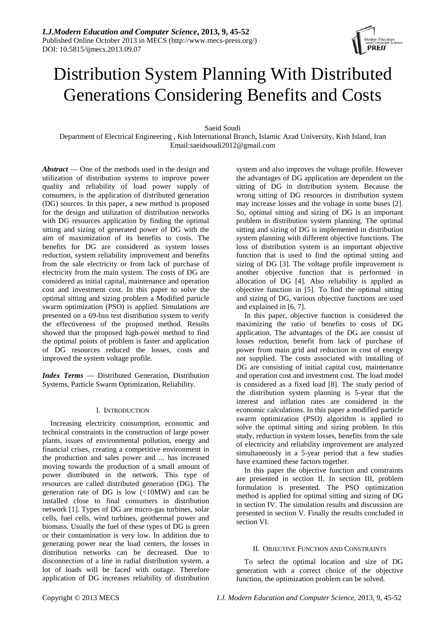

# Distribution System Planning With Distributed Generations Considering Benefits and Costs

Saeid Soudi

Department of Electrical Engineering , Kish International Branch, Islamic Azad University, Kish Island, Iran Email:saeidsoudi2012@gmail.com

*Abstract* — One of the methods used in the design and utilization of distribution systems to improve power quality and reliability of load power supply of consumers, is the application of distributed generation (DG) sources. In this paper, a new method is proposed for the design and utilization of distribution networks with DG resources application by finding the optimal sitting and sizing of generated power of DG with the aim of maximization of its benefits to costs. The benefits for DG are considered as system losses reduction, system reliability improvement and benefits from the sale electricity or from lack of purchase of electricity from the main system. The costs of DG are considered as initial capital, maintenance and operation cost and investment cost. In this paper to solve the optimal sitting and sizing problem a Modified particle swarm optimization (PSO) is applied. Simulations are presented on a 69-bus test distribution system to verify the effectiveness of the proposed method. Results showed that the proposed high-power method to find the optimal points of problem is faster and application of DG resources reduced the losses, costs and improved the system voltage profile.

*Index Terms* — Distributed Generation, Distribution Systems, Particle Swarm Optimization, Reliability.

# I. INTRODUCTION

Increasing electricity consumption, economic and technical constraints in the construction of large power plants, issues of environmental pollution, energy and financial crises, creating a competitive environment in the production and sales power and ... has increased moving towards the production of a small amount of power distributed in the network. This type of resources are called distributed generation (DG). The generation rate of DG is low  $\langle$ <10MW) and can be installed close to final consumers in distribution network [1]. Types of DG are micro-gas turbines, solar cells, fuel cells, wind turbines, geothermal power and biomass. Usually the fuel of these types of DG is green or their contamination is very low. In addition due to generating power near the load centers, the losses in distribution networks can be decreased. Due to disconnection of a line in radial distribution system, a lot of loads will be faced with outage. Therefore application of DG increases reliability of distribution

system and also improves the voltage profile. However the advantages of DG application are dependent on the sitting of DG in distribution system. Because the wrong sitting of DG resources in distribution system may increase losses and the voltage in some buses [2]. So, optimal sitting and sizing of DG is an important problem in distribution system planning. The optimal sitting and sizing of DG is implemented in distribution system planning with different objective functions. The loss of distribution system is an important objective function that is used to find the optimal sitting and sizing of DG [3]. The voltage profile improvement is another objective function that is performed in allocation of DG [4]. Also reliability is applied as objective function in [5]. To find the optimal sitting and sizing of DG, various objective functions are used and explained in [6, 7].

In this paper, objective function is considered the maximizing the ratio of benefits to costs of DG application. The advantages of the DG are consist of losses reduction, benefit from lack of purchase of power from main grid and reduction in cost of energy not supplied. The costs associated with installing of DG are consisting of initial capital cost, maintenance and operation cost and investment cost. The load model is considered as a fixed load [8]. The study period of the distribution system planning is 5-year that the interest and inflation rates are considered in the economic calculations. In this paper a modified particle swarm optimization (PSO) algorithm is applied to solve the optimal sitting and sizing problem. In this study, reduction in system losses, benefits from the sale of electricity and reliability improvement are analyzed simultaneously in a 5-year period that a few studies have examined these factors together.

In this paper the objective function and constraints are presented in section II. In section III, problem formulation is presented. The PSO optimization method is applied for optimal sitting and sizing of DG in section IV. The simulation results and discussion are presented in section V. Finally the results concluded in section VI.

# II. OBJECTIVE FUNCTION AND CONSTRAINTS

To select the optimal location and size of DG generation with a correct choice of the objective function, the optimization problem can be solved.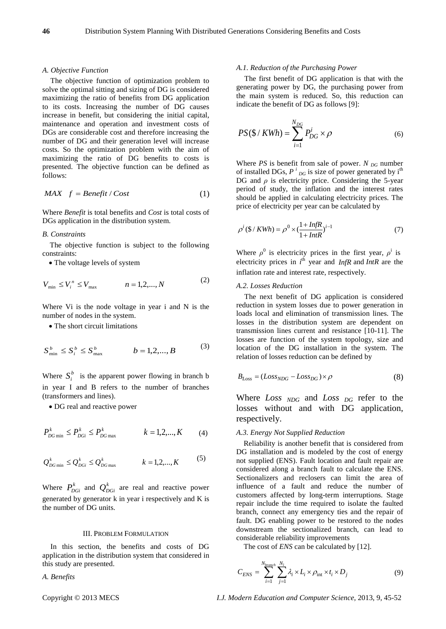#### *A. Objective Function*

The objective function of optimization problem to solve the optimal sitting and sizing of DG is considered maximizing the ratio of benefits from DG application to its costs. Increasing the number of DG causes increase in benefit, but considering the initial capital, maintenance and operation and investment costs of DGs are considerable cost and therefore increasing the number of DG and their generation level will increase costs. So the optimization problem with the aim of maximizing the ratio of DG benefits to costs is presented. The objective function can be defined as follows:

$$
MAX \quad f = Benefit / Cost \tag{1}
$$

Where *Benefit* is total benefits and *Cost* is total costs of DGs application in the distribution system.

## *B. Constraints*

The objective function is subject to the following constraints:

• The voltage levels of system

$$
V_{\min} \le V_i^n \le V_{\max} \qquad n = 1, 2, ..., N \tag{2}
$$

Where Vi is the node voltage in year i and N is the number of nodes in the system.

• The short circuit limitations

$$
S_{\min}^b \le S_i^b \le S_{\max}^b \qquad b = 1, 2, \dots, B \tag{3}
$$

Where  $S_i^b$  is the apparent power flowing in branch b in year I and B refers to the number of branches (transformers and lines).

• DG real and reactive power

$$
P_{DG \min}^k \le P_{DGi}^k \le P_{DG \max}^k \qquad k = 1, 2, ..., K \qquad (4)
$$

$$
Q_{DG \min}^k \leq Q_{DGi}^k \leq Q_{DG \max}^k
$$
  $k = 1, 2, ..., K$  (5)

Where  $P_{DGi}^{k}$  and  $Q_{DGi}^{k}$  are real and reactive power generated by generator k in year i respectively and K is the number of DG units.

## III. PROBLEM FORMULATION

In this section, the benefits and costs of DG application in the distribution system that considered in this study are presented.

*A. Benefits*

# *A.1. Reduction of the Purchasing Power*

The first benefit of DG application is that with the generating power by DG, the purchasing power from the main system is reduced. So, this reduction can indicate the benefit of DG as follows [9]:

$$
PS(\text{S}/KWh) = \sum_{i=1}^{N_{DG}} P_{DG}^i \times \rho \tag{6}
$$

Where *PS* is benefit from sale of power. *N*  $_{DG}$  number of installed DGs,  $P^{i}{}_{DG}$  is size of power generated by i<sup>th</sup> DG and  $\rho$  is electricity price. Considering the 5-year period of study, the inflation and the interest rates should be applied in calculating electricity prices. The price of electricity per year can be calculated by

$$
\rho^{i}(\$ / KWh) = \rho^{0} \times (\frac{1 + InfR}{1 + InfR})^{i-1}
$$
\n(7)

Where  $\rho^0$  is electricity prices in the first year,  $\rho^i$  is electricity prices in  $i<sup>th</sup>$  year and *InfR* and *IntR* are the inflation rate and interest rate, respectively.

#### *A.2. Losses Reduction*

The next benefit of DG application is considered reduction in system losses due to power generation in loads local and elimination of transmission lines. The losses in the distribution system are dependent on transmission lines current and resistance [10-11]. The losses are function of the system topology, size and location of the DG installation in the system. The relation of losses reduction can be defined by

$$
B_{Loss} = (Loss_{NDG} - Loss_{DG}) \times \rho \tag{8}
$$

Where *Loss NDG* and *Loss DG* refer to the losses without and with DG application, respectively.

# *A.3. Energy Not Supplied Reduction*

Reliability is another benefit that is considered from DG installation and is modeled by the cost of energy not supplied (ENS). Fault location and fault repair are considered along a branch fault to calculate the ENS. Sectionalizers and reclosers can limit the area of influence of a fault and reduce the number of customers affected by long-term interruptions. Stage repair include the time required to isolate the faulted branch, connect any emergency ties and the repair of fault. DG enabling power to be restored to the nodes downstream the sectionalized branch, can lead to considerable reliability improvements

The cost of *ENS* can be calculated by [12].

$$
C_{ENS} = \sum_{i=1}^{N_{branch}} \sum_{j=1}^{N_l} \lambda_i \times L_i \times \rho_{int} \times t_i \times D_j
$$
 (9)

Copyright © 2013 MECS *I.J. Modern Education and Computer Science,* 2013, 9, 45-52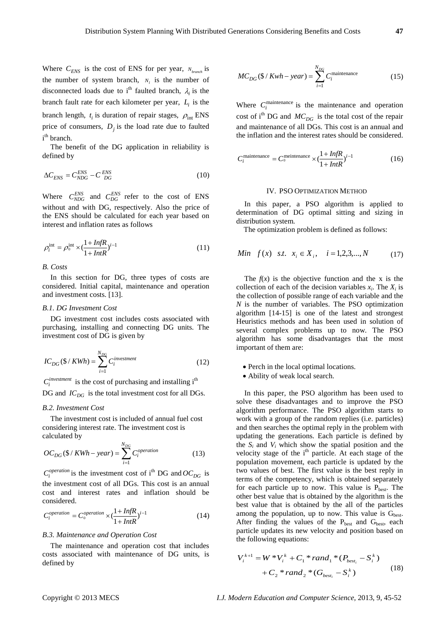Where  $C_{ENS}$  is the cost of ENS for per year,  $N_{branch}$  is the number of system branch,  $N_l$  is the number of disconnected loads due to i<sup>th</sup> faulted branch,  $\lambda_i$  is the branch fault rate for each kilometer per year,  $L<sub>i</sub>$  is the branch length,  $t_i$  is duration of repair stages,  $\rho_{int}$  ENS price of consumers,  $D_i$  is the load rate due to faulted i<sup>th</sup> branch.

The benefit of the DG application in reliability is defined by

$$
\Delta C_{ENS} = C_{NDG}^{ENS} - C_{DG}^{ENS} \tag{10}
$$

Where  $C_{NDG}^{ENS}$  and  $C_{DG}^{ENS}$  refer to the cost of ENS without and with DG, respectively. Also the price of the ENS should be calculated for each year based on interest and inflation rates as follows

$$
\rho_i^{\text{int}} = \rho_0^{\text{int}} \times (\frac{1 + \text{InfR}}{1 + \text{InfR}})^{i-1}
$$
\n(11)

# *B. Costs*

In this section for DG, three types of costs are considered. Initial capital, maintenance and operation and investment costs. [13].

# *B.1. DG Investment Cost*

DG investment cost includes costs associated with purchasing, installing and connecting DG units. The investment cost of DG is given by

$$
IC_{DG}(\$/KWh) = \sum_{i=1}^{N_{DG}} C_i^{investment}
$$
 (12)

 $C_i^{investment}$  is the cost of purchasing and installing i<sup>th</sup>

DG and  $IC_{DG}$  is the total investment cost for all DGs.

#### *B.2. Investment Cost*

The investment cost is included of annual fuel cost considering interest rate. The investment cost is calculated by

$$
OC_{DG}(\$ / KWh - year) = \sum_{i=1}^{N_{DG}} C_i^{operation}
$$
 (13)

 $C_i^{operation}$  is the investment cost of i<sup>th</sup> DG and  $OC_{DG}$  is the investment cost of all DGs. This cost is an annual cost and interest rates and inflation should be considered.

$$
C_i^{operation} = C_0^{operation} \times (\frac{1 + InfR}{1 + InfR})^{i-1}
$$
 (14)

# *B.3. Maintenance and Operation Cost*

The maintenance and operation cost that includes costs associated with maintenance of DG units, is defined by

$$
MC_{DG}(\text{S}/Kwh - year) = \sum_{i=1}^{N_{DG}} C_i^{\text{maintename}}
$$
 (15)

Where  $C_i^{\text{maintename}}$  is the maintenance and operation cost of i<sup>th</sup> DG and  $MC_{DG}$  is the total cost of the repair and maintenance of all DGs. This cost is an annual and the inflation and the interest rates should be considered.

$$
C_i^{\text{maintenance}} = C_0^{\text{meinteanace}} \times \left(\frac{1 + \text{InfR}}{1 + \text{InfR}}\right)^{i-1} \tag{16}
$$

#### IV. PSO OPTIMIZATION METHOD

In this paper, a PSO algorithm is applied to determination of DG optimal sitting and sizing in distribution system.

The optimization problem is defined as follows:

Min 
$$
f(x)
$$
 s.t.  $x_i \in X_i$ ,  $i = 1, 2, 3, ..., N$  (17)

The  $f(x)$  is the objective function and the x is the collection of each of the decision variables  $x_i$ . The  $X_i$  is the collection of possible range of each variable and the *N* is the number of variables. The PSO optimization algorithm [14-15] is one of the latest and strongest Heuristics methods and has been used in solution of several complex problems up to now. The PSO algorithm has some disadvantages that the most important of them are:

- Perch in the local optimal locations.
- Ability of weak local search.

In this paper, the PSO algorithm has been used to solve these disadvantages and to improve the PSO algorithm performance. The PSO algorithm starts to work with a group of the random replies (i.e. particles) and then searches the optimal reply in the problem with updating the generations. Each particle is defined by the  $S_i$  and  $V_i$  which show the spatial position and the velocity stage of the i<sup>th</sup> particle. At each stage of the population movement, each particle is updated by the two values of best. The first value is the best reply in terms of the competency, which is obtained separately for each particle up to now. This value is  $P_{best}$ . The other best value that is obtained by the algorithm is the best value that is obtained by the all of the particles among the population, up to now. This value is  $G<sub>best</sub>$ . After finding the values of the  $P_{best}$  and  $G_{best}$ , each particle updates its new velocity and position based on the following equations:

$$
V_i^{k+1} = W^* V_i^k + C_1^* rand_1^* (P_{best_i} - S_i^k)
$$
  
+  $C_2^* rand_2^* (G_{best_i} - S_i^k)$  (18)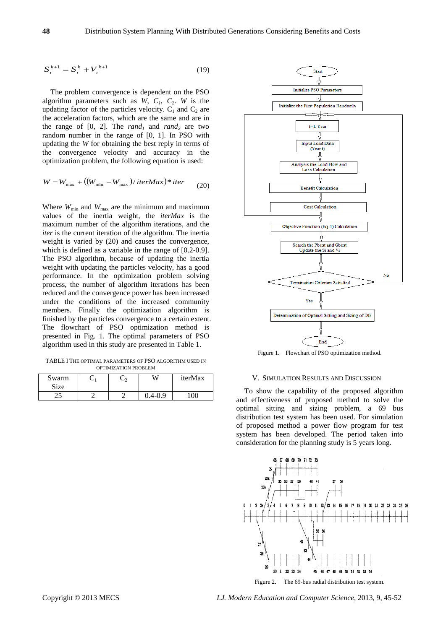$$
S_i^{k+1} = S_i^k + V_i^{k+1}
$$
 (19)

The problem convergence is dependent on the PSO algorithm parameters such as  $W$ ,  $C_1$ ,  $C_2$ .  $W$  is the updating factor of the particles velocity.  $C_1$  and  $C_2$  are the acceleration factors, which are the same and are in the range of  $[0, 2]$ . The *rand<sub>1</sub>* and *rand<sub>2</sub>* are two random number in the range of [0, 1]. In PSO with updating the *W* for obtaining the best reply in terms of the convergence velocity and accuracy in the optimization problem, the following equation is used:

$$
W = W_{\text{max}} + ((W_{\text{min}} - W_{\text{max}}) / iterMax) * iter \tag{20}
$$

Where  $W_{\text{min}}$  and  $W_{\text{max}}$  are the minimum and maximum values of the inertia weight, the *iterMax* is the maximum number of the algorithm iterations, and the *iter* is the current iteration of the algorithm. The inertia weight is varied by (20) and causes the convergence, which is defined as a variable in the range of [0.2-0.9]. The PSO algorithm, because of updating the inertia weight with updating the particles velocity, has a good performance. In the optimization problem solving process, the number of algorithm iterations has been reduced and the convergence power has been increased under the conditions of the increased community members. Finally the optimization algorithm is finished by the particles convergence to a certain extent. The flowchart of PSO optimization method is presented in Fig. 1. The optimal parameters of PSO algorithm used in this study are presented in Table 1.

TABLE I THE OPTIMAL PARAMETERS OF PSO ALGORITHM USED IN OPTIMIZATION PROBLEM

| Swarm<br>Size |  | ίX.        | iterMax |
|---------------|--|------------|---------|
| --            |  | $4-\Omega$ | ∩∩      |



Figure 1. Flowchart of PSO optimization method.

#### V. SIMULATION RESULTS AND DISCUSSION

To show the capability of the proposed algorithm and effectiveness of proposed method to solve the optimal sitting and sizing problem, a 69 bus distribution test system has been used. For simulation of proposed method a power flow program for test system has been developed. The period taken into consideration for the planning study is 5 years long.



Figure 2. The 69-bus radial distribution test system.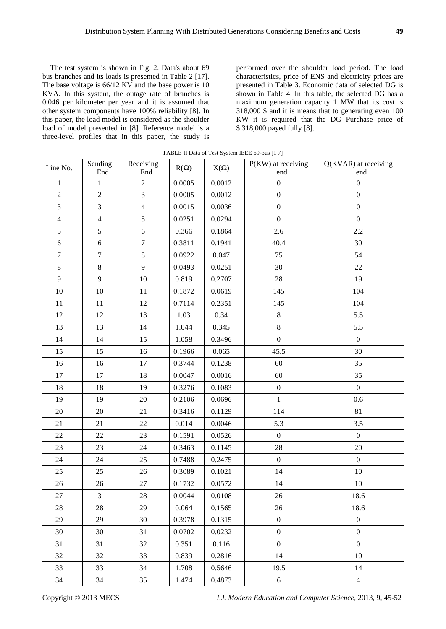The test system is shown in Fig. 2. Data's about 69 bus branches and its loads is presented in Table 2 [17]. The base voltage is 66/12 KV and the base power is 10 KVA. In this system, the outage rate of branches is 0.046 per kilometer per year and it is assumed that other system components have 100% reliability [8]. In this paper, the load model is considered as the shoulder load of model presented in [8]. Reference model is a three-level profiles that in this paper, the study is

performed over the shoulder load period. The load characteristics, price of ENS and electricity prices are presented in Table 3. Economic data of selected DG is shown in Table 4. In this table, the selected DG has a maximum generation capacity 1 MW that its cost is 318,000 \$ and it is means that to generating even 100 KW it is required that the DG Purchase price of \$ 318,000 payed fully [8].

| Line No.       | Sending<br>End | Receiving<br>End | $R(\Omega)$ | $X(\Omega)$ | P(KW) at receiving<br>end | Q(KVAR) at receiving<br>end |
|----------------|----------------|------------------|-------------|-------------|---------------------------|-----------------------------|
| $\mathbf{1}$   | $\mathbf{1}$   | $\overline{2}$   | 0.0005      | 0.0012      | $\boldsymbol{0}$          | $\boldsymbol{0}$            |
| $\sqrt{2}$     | $\overline{2}$ | 3                | 0.0005      | 0.0012      | $\boldsymbol{0}$          | $\mathbf{0}$                |
| $\mathfrak{Z}$ | 3              | $\overline{4}$   | 0.0015      | 0.0036      | $\boldsymbol{0}$          | $\boldsymbol{0}$            |
| $\overline{4}$ | $\overline{4}$ | 5                | 0.0251      | 0.0294      | $\boldsymbol{0}$          | $\boldsymbol{0}$            |
| $\mathfrak{S}$ | 5              | 6                | 0.366       | 0.1864      | 2.6                       | $2.2\,$                     |
| $6\,$          | 6              | $\tau$           | 0.3811      | 0.1941      | 40.4                      | 30                          |
| $\overline{7}$ | $\tau$         | $8\,$            | 0.0922      | 0.047       | 75                        | 54                          |
| $8\,$          | $8\,$          | 9                | 0.0493      | 0.0251      | 30                        | 22                          |
| 9              | 9              | $10\,$           | 0.819       | 0.2707      | 28                        | 19                          |
| $10\,$         | $10\,$         | $11\,$           | 0.1872      | 0.0619      | 145                       | 104                         |
| $11\,$         | 11             | 12               | 0.7114      | 0.2351      | 145                       | 104                         |
| 12             | 12             | 13               | 1.03        | 0.34        | $8\,$                     | 5.5                         |
| 13             | 13             | 14               | 1.044       | 0.345       | $8\,$                     | 5.5                         |
| 14             | 14             | 15               | 1.058       | 0.3496      | $\boldsymbol{0}$          | $\boldsymbol{0}$            |
| 15             | 15             | 16               | 0.1966      | 0.065       | 45.5                      | 30                          |
| 16             | 16             | 17               | 0.3744      | 0.1238      | 60                        | 35                          |
| 17             | 17             | 18               | 0.0047      | 0.0016      | 60                        | 35                          |
| 18             | 18             | 19               | 0.3276      | 0.1083      | $\boldsymbol{0}$          | $\boldsymbol{0}$            |
| 19             | 19             | 20               | 0.2106      | 0.0696      | $\mathbf{1}$              | 0.6                         |
| 20             | $20\,$         | 21               | 0.3416      | 0.1129      | 114                       | 81                          |
| 21             | 21             | 22               | 0.014       | 0.0046      | 5.3                       | 3.5                         |
| 22             | $22\,$         | 23               | 0.1591      | 0.0526      | $\boldsymbol{0}$          | $\boldsymbol{0}$            |
| 23             | 23             | 24               | 0.3463      | 0.1145      | $28\,$                    | 20                          |
| 24             | 24             | 25               | 0.7488      | 0.2475      | $\mathbf{0}$              | $\mathbf{0}$                |
| 25             | 25             | 26               | 0.3089      | 0.1021      | 14                        | 10                          |
| 26             | 26             | 27               | 0.1732      | 0.0572      | 14                        | $10\,$                      |
| 27             | 3              | 28               | 0.0044      | 0.0108      | 26                        | 18.6                        |
| 28             | $28\,$         | 29               | 0.064       | 0.1565      | 26                        | 18.6                        |
| 29             | 29             | 30               | 0.3978      | 0.1315      | $\mathbf{0}$              | $\boldsymbol{0}$            |
| 30             | 30             | 31               | 0.0702      | 0.0232      | $\overline{0}$            | $\overline{0}$              |
| 31             | 31             | 32               | 0.351       | 0.116       | $\mathbf{0}$              | $\overline{0}$              |
| 32             | 32             | 33               | 0.839       | 0.2816      | 14                        | 10                          |
| 33             | 33             | 34               | 1.708       | 0.5646      | 19.5                      | 14                          |
| 34             | 34             | 35               | 1.474       | 0.4873      | 6                         | $\overline{4}$              |

TABLE II Data of Test System IEEE 69-bus [1 7]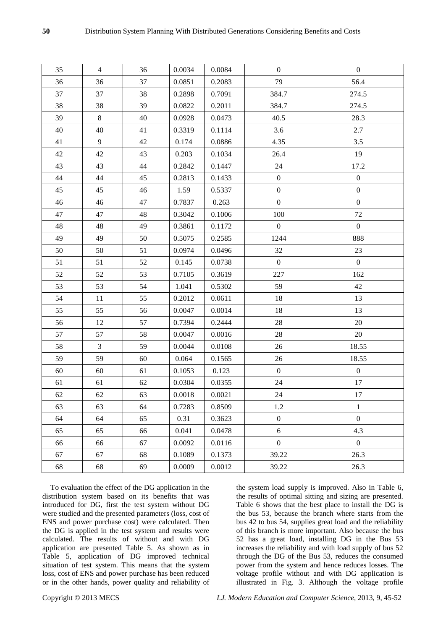| 35     | $\overline{4}$ | 36 | 0.0034 | 0.0084 | $\mathbf{0}$     | $\boldsymbol{0}$ |
|--------|----------------|----|--------|--------|------------------|------------------|
| 36     | 36             | 37 | 0.0851 | 0.2083 | 79               | 56.4             |
| 37     | 37             | 38 | 0.2898 | 0.7091 | 384.7            | 274.5            |
| 38     | 38             | 39 | 0.0822 | 0.2011 | 384.7            | 274.5            |
| 39     | 8              | 40 | 0.0928 | 0.0473 | 40.5             | 28.3             |
| 40     | 40             | 41 | 0.3319 | 0.1114 | 3.6              | 2.7              |
| 41     | 9              | 42 | 0.174  | 0.0886 | 4.35             | 3.5              |
| 42     | 42             | 43 | 0.203  | 0.1034 | 26.4             | 19               |
| 43     | 43             | 44 | 0.2842 | 0.1447 | 24               | 17.2             |
| 44     | 44             | 45 | 0.2813 | 0.1433 | $\overline{0}$   | $\boldsymbol{0}$ |
| 45     | 45             | 46 | 1.59   | 0.5337 | $\boldsymbol{0}$ | $\boldsymbol{0}$ |
| 46     | 46             | 47 | 0.7837 | 0.263  | $\boldsymbol{0}$ | $\boldsymbol{0}$ |
| 47     | 47             | 48 | 0.3042 | 0.1006 | 100              | 72               |
| 48     | 48             | 49 | 0.3861 | 0.1172 | $\mathbf{0}$     | $\overline{0}$   |
| 49     | 49             | 50 | 0.5075 | 0.2585 | 1244             | 888              |
| 50     | 50             | 51 | 0.0974 | 0.0496 | 32               | 23               |
| 51     | 51             | 52 | 0.145  | 0.0738 | $\overline{0}$   | $\mathbf{0}$     |
| 52     | 52             | 53 | 0.7105 | 0.3619 | 227              | 162              |
| 53     | 53             | 54 | 1.041  | 0.5302 | 59               | 42               |
| 54     | 11             | 55 | 0.2012 | 0.0611 | 18               | 13               |
| 55     | 55             | 56 | 0.0047 | 0.0014 | 18               | 13               |
| 56     | 12             | 57 | 0.7394 | 0.2444 | 28               | 20               |
| 57     | 57             | 58 | 0.0047 | 0.0016 | 28               | 20               |
| 58     | $\overline{3}$ | 59 | 0.0044 | 0.0108 | 26               | 18.55            |
| 59     | 59             | 60 | 0.064  | 0.1565 | 26               | 18.55            |
| 60     | 60             | 61 | 0.1053 | 0.123  | $\mathbf{0}$     | $\boldsymbol{0}$ |
| 61     | 61             | 62 | 0.0304 | 0.0355 | 24               | 17               |
| $62\,$ | 62             | 63 | 0.0018 | 0.0021 | 24               | 17               |
| 63     | 63             | 64 | 0.7283 | 0.8509 | 1.2              | $\mathbf{1}$     |
| 64     | 64             | 65 | 0.31   | 0.3623 | $\boldsymbol{0}$ | $\boldsymbol{0}$ |
| 65     | 65             | 66 | 0.041  | 0.0478 | 6                | 4.3              |
| 66     | 66             | 67 | 0.0092 | 0.0116 | $\overline{0}$   | $\boldsymbol{0}$ |
| 67     | 67             | 68 | 0.1089 | 0.1373 | 39.22            | 26.3             |
| 68     | 68             | 69 | 0.0009 | 0.0012 | 39.22            | 26.3             |

To evaluation the effect of the DG application in the distribution system based on its benefits that was introduced for DG, first the test system without DG were studied and the presented parameters (loss, cost of ENS and power purchase cost) were calculated. Then the DG is applied in the test system and results were calculated. The results of without and with DG application are presented Table 5. As shown as in Table 5, application of DG improved technical situation of test system. This means that the system loss, cost of ENS and power purchase has been reduced or in the other hands, power quality and reliability of the system load supply is improved. Also in Table 6, the results of optimal sitting and sizing are presented. Table 6 shows that the best place to install the DG is the bus 53, because the branch where starts from the bus 42 to bus 54, supplies great load and the reliability of this branch is more important. Also because the bus 52 has a great load, installing DG in the Bus 53 increases the reliability and with load supply of bus 52 through the DG of the Bus 53, reduces the consumed power from the system and hence reduces losses. The voltage profile without and with DG application is illustrated in Fig. 3. Although the voltage profile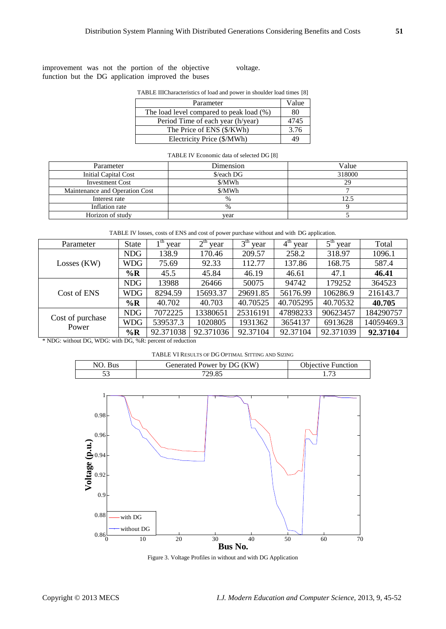improvement was not the portion of the objective function but the DG application improved the buses voltage.

| Parameter                                | Value |
|------------------------------------------|-------|
| The load level compared to peak load (%) | 80    |
| Period Time of each year (h/year)        | 4745  |
| The Price of ENS (\$/KWh)                | 3.76  |
| Electricity Price (\$/MWh)               | 49    |

#### TABLE IV Economic data of selected DG [8]

| Parameter                      | Dimension     | Value  |
|--------------------------------|---------------|--------|
| Initial Capital Cost           | \$/each DG    | 318000 |
| <b>Investment Cost</b>         | \$/MWh        | 29     |
| Maintenance and Operation Cost | \$/MWh        |        |
| Interest rate                  | $\frac{0}{0}$ | 12.5   |
| Inflation rate                 | $\%$          |        |
| Horizon of study               | vear          |        |

TABLE IV losses, costs of ENS and cost of power purchase without and with DG application.

| Parameter                                                 | <b>State</b> | $1th$ year | $2th$ year | 3 <sup>th</sup><br>year | $4th$ year | $5th$ year | Total      |
|-----------------------------------------------------------|--------------|------------|------------|-------------------------|------------|------------|------------|
| $Losses$ (KW)                                             | <b>NDG</b>   | 138.9      | 170.46     | 209.57                  | 258.2      | 318.97     | 1096.1     |
|                                                           | WDG          | 75.69      | 92.33      | 112.77                  | 137.86     | 168.75     | 587.4      |
|                                                           | $\%$ R       | 45.5       | 45.84      | 46.19                   | 46.61      | 47.1       | 46.41      |
| Cost of ENS                                               | <b>NDG</b>   | 13988      | 26466      | 50075                   | 94742      | 179252     | 364523     |
|                                                           | WDG          | 8294.59    | 15693.37   | 29691.85                | 56176.99   | 106286.9   | 216143.7   |
|                                                           | $\%$ R       | 40.702     | 40.703     | 40.70525                | 40.705295  | 40.70532   | 40.705     |
| Cost of purchase<br>Power                                 | <b>NDG</b>   | 7072225    | 13380651   | 25316191                | 47898233   | 90623457   | 184290757  |
|                                                           | WDG          | 539537.3   | 1020805    | 1931362                 | 3654137    | 6913628    | 14059469.3 |
|                                                           | $\%$ R       | 92.371038  | 92.371036  | 92.37104                | 92.37104   | 92.371039  | 92.37104   |
| * NDG: without DG, WDG: with DG, %R: percent of reduction |              |            |            |                         |            |            |            |

TABLE VI RESULTS OF DG OPTIMAL SITTING AND SIZING

| sus | Generated Power<br>: by DG (KW` | )hiective.<br>Function        |
|-----|---------------------------------|-------------------------------|
| ັ   | 20.UJ                           | $\overline{\phantom{a}}$<br>. |



Figure 3. Voltage Profiles in without and with DG Application